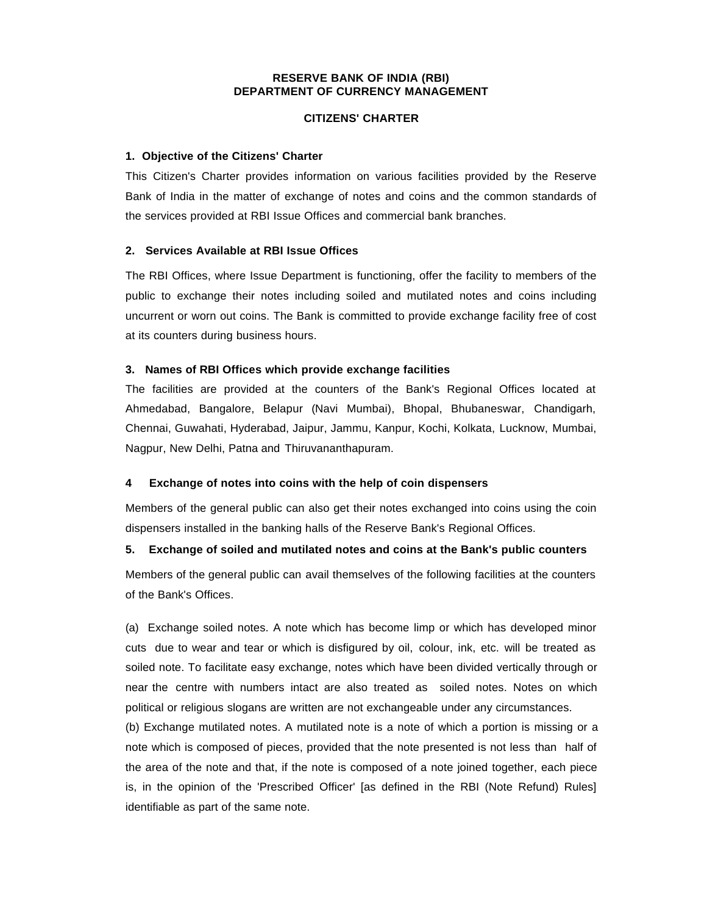#### **RESERVE BANK OF INDIA (RBI) DEPARTMENT OF CURRENCY MANAGEMENT**

#### **CITIZENS' CHARTER**

#### **1. Objective of the Citizens' Charter**

This Citizen's Charter provides information on various facilities provided by the Reserve Bank of India in the matter of exchange of notes and coins and the common standards of the services provided at RBI Issue Offices and commercial bank branches.

#### **2. Services Available at RBI Issue Offices**

The RBI Offices, where Issue Department is functioning, offer the facility to members of the public to exchange their notes including soiled and mutilated notes and coins including uncurrent or worn out coins. The Bank is committed to provide exchange facility free of cost at its counters during business hours.

#### **3. Names of RBI Offices which provide exchange facilities**

The facilities are provided at the counters of the Bank's Regional Offices located at Ahmedabad, Bangalore, Belapur (Navi Mumbai), Bhopal, Bhubaneswar, Chandigarh, Chennai, Guwahati, Hyderabad, Jaipur, Jammu, Kanpur, Kochi, Kolkata, Lucknow, Mumbai, Nagpur, New Delhi, Patna and Thiruvananthapuram.

#### **4 Exchange of notes into coins with the help of coin dispensers**

Members of the general public can also get their notes exchanged into coins using the coin dispensers installed in the banking halls of the Reserve Bank's Regional Offices.

#### **5. Exchange of soiled and mutilated notes and coins at the Bank's public counters**

Members of the general public can avail themselves of the following facilities at the counters of the Bank's Offices.

(a) Exchange soiled notes. A note which has become limp or which has developed minor cuts due to wear and tear or which is disfigured by oil, colour, ink, etc. will be treated as soiled note. To facilitate easy exchange, notes which have been divided vertically through or near the centre with numbers intact are also treated as soiled notes. Notes on which political or religious slogans are written are not exchangeable under any circumstances.

(b) Exchange mutilated notes. A mutilated note is a note of which a portion is missing or a note which is composed of pieces, provided that the note presented is not less than half of the area of the note and that, if the note is composed of a note joined together, each piece is, in the opinion of the 'Prescribed Officer' [as defined in the RBI (Note Refund) Rules] identifiable as part of the same note.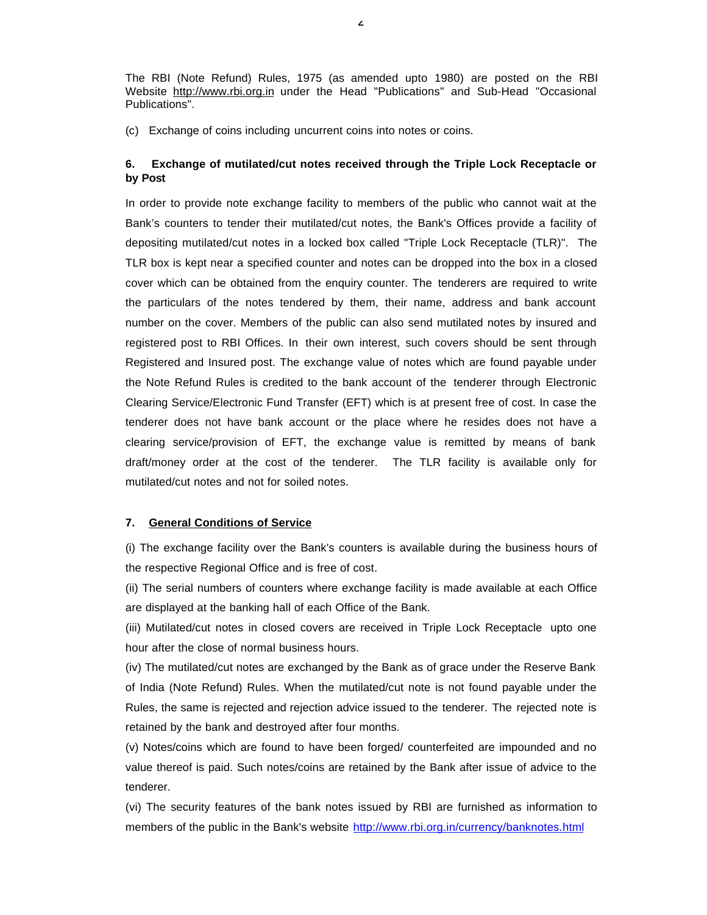The RBI (Note Refund) Rules, 1975 (as amended upto 1980) are posted on the RBI Website http://www.rbi.org.in under the Head "Publications" and Sub-Head "Occasional Publications".

(c) Exchange of coins including uncurrent coins into notes or coins.

#### **6. Exchange of mutilated/cut notes received through the Triple Lock Receptacle or by Post**

In order to provide note exchange facility to members of the public who cannot wait at the Bank's counters to tender their mutilated/cut notes, the Bank's Offices provide a facility of depositing mutilated/cut notes in a locked box called "Triple Lock Receptacle (TLR)". The TLR box is kept near a specified counter and notes can be dropped into the box in a closed cover which can be obtained from the enquiry counter. The tenderers are required to write the particulars of the notes tendered by them, their name, address and bank account number on the cover. Members of the public can also send mutilated notes by insured and registered post to RBI Offices. In their own interest, such covers should be sent through Registered and Insured post. The exchange value of notes which are found payable under the Note Refund Rules is credited to the bank account of the tenderer through Electronic Clearing Service/Electronic Fund Transfer (EFT) which is at present free of cost. In case the tenderer does not have bank account or the place where he resides does not have a clearing service/provision of EFT, the exchange value is remitted by means of bank draft/money order at the cost of the tenderer. The TLR facility is available only for mutilated/cut notes and not for soiled notes.

#### **7. General Conditions of Service**

(i) The exchange facility over the Bank's counters is available during the business hours of the respective Regional Office and is free of cost.

(ii) The serial numbers of counters where exchange facility is made available at each Office are displayed at the banking hall of each Office of the Bank.

(iii) Mutilated/cut notes in closed covers are received in Triple Lock Receptacle upto one hour after the close of normal business hours.

(iv) The mutilated/cut notes are exchanged by the Bank as of grace under the Reserve Bank of India (Note Refund) Rules. When the mutilated/cut note is not found payable under the Rules, the same is rejected and rejection advice issued to the tenderer. The rejected note is retained by the bank and destroyed after four months.

(v) Notes/coins which are found to have been forged/ counterfeited are impounded and no value thereof is paid. Such notes/coins are retained by the Bank after issue of advice to the tenderer.

(vi) The security features of the bank notes issued by RBI are furnished as information to members of the public in the Bank's website http://www.rbi.org.in/currency/banknotes.html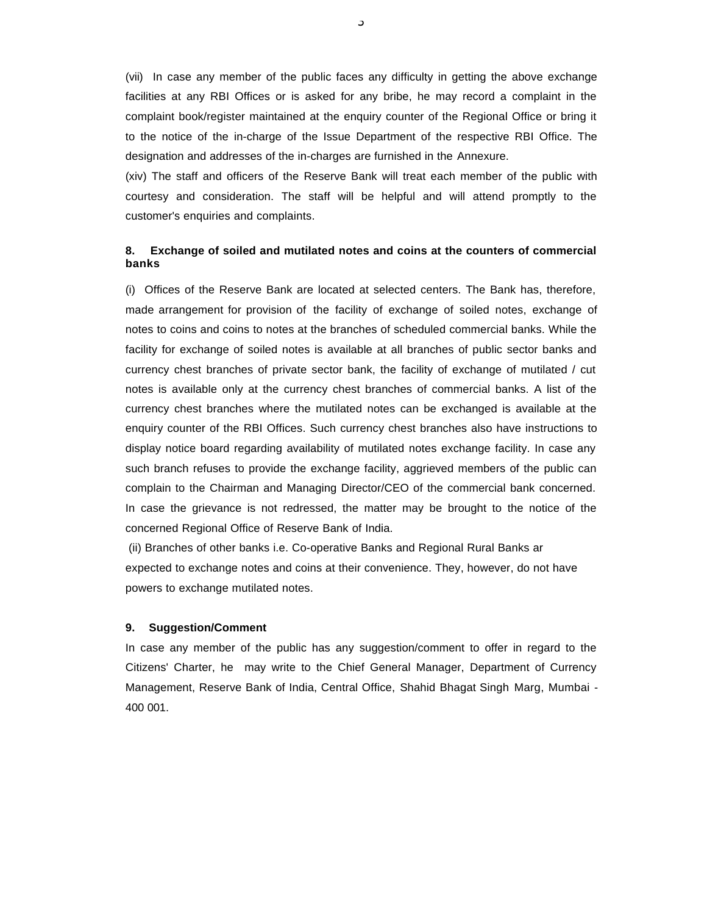(vii) In case any member of the public faces any difficulty in getting the above exchange facilities at any RBI Offices or is asked for any bribe, he may record a complaint in the complaint book/register maintained at the enquiry counter of the Regional Office or bring it to the notice of the in-charge of the Issue Department of the respective RBI Office. The designation and addresses of the in-charges are furnished in the Annexure.

(xiv) The staff and officers of the Reserve Bank will treat each member of the public with courtesy and consideration. The staff will be helpful and will attend promptly to the customer's enquiries and complaints.

### **8. Exchange of soiled and mutilated notes and coins at the counters of commercial banks**

(i) Offices of the Reserve Bank are located at selected centers. The Bank has, therefore, made arrangement for provision of the facility of exchange of soiled notes, exchange of notes to coins and coins to notes at the branches of scheduled commercial banks. While the facility for exchange of soiled notes is available at all branches of public sector banks and currency chest branches of private sector bank, the facility of exchange of mutilated / cut notes is available only at the currency chest branches of commercial banks. A list of the currency chest branches where the mutilated notes can be exchanged is available at the enquiry counter of the RBI Offices. Such currency chest branches also have instructions to display notice board regarding availability of mutilated notes exchange facility. In case any such branch refuses to provide the exchange facility, aggrieved members of the public can complain to the Chairman and Managing Director/CEO of the commercial bank concerned. In case the grievance is not redressed, the matter may be brought to the notice of the concerned Regional Office of Reserve Bank of India.

(ii) Branches of other banks i.e. Co-operative Banks and Regional Rural Banks ar expected to exchange notes and coins at their convenience. They, however, do not have powers to exchange mutilated notes.

#### **9. Suggestion/Comment**

In case any member of the public has any suggestion/comment to offer in regard to the Citizens' Charter, he may write to the Chief General Manager, Department of Currency Management, Reserve Bank of India, Central Office, Shahid Bhagat Singh Marg, Mumbai - 400 001.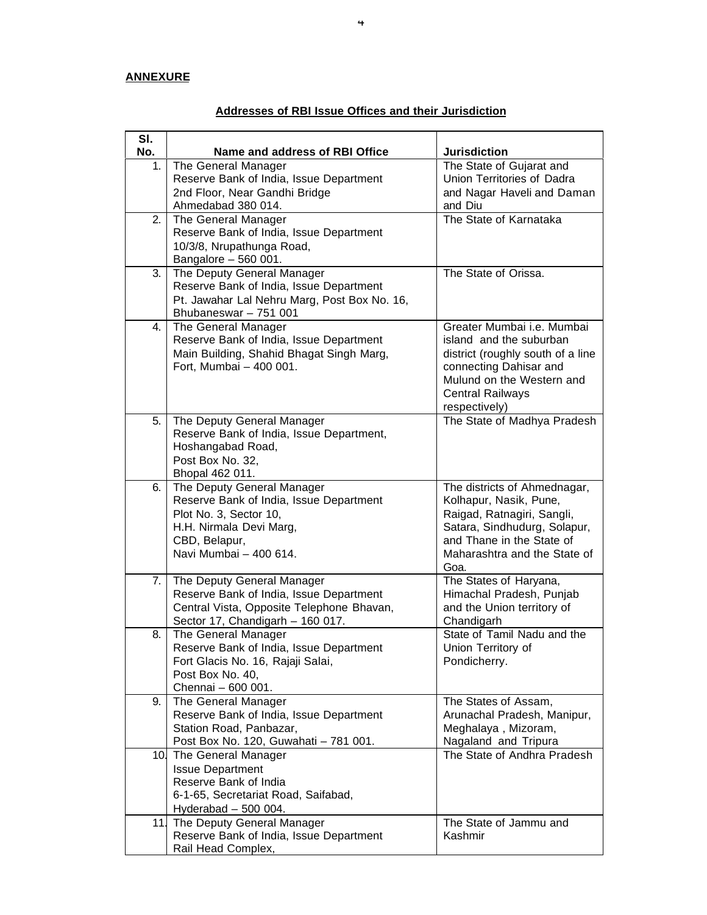## **ANNEXURE**

| SI.<br>No. |                                                         |                                                        |
|------------|---------------------------------------------------------|--------------------------------------------------------|
|            | Name and address of RBI Office                          | <b>Jurisdiction</b>                                    |
| 1.         | The General Manager                                     | The State of Gujarat and<br>Union Territories of Dadra |
|            | Reserve Bank of India, Issue Department                 |                                                        |
|            | 2nd Floor, Near Gandhi Bridge                           | and Nagar Haveli and Daman                             |
|            | Ahmedabad 380 014.                                      | and Diu                                                |
| 2.         | The General Manager                                     | The State of Karnataka                                 |
|            | Reserve Bank of India, Issue Department                 |                                                        |
|            | 10/3/8, Nrupathunga Road,                               |                                                        |
|            | Bangalore - 560 001.                                    |                                                        |
| 3.         | The Deputy General Manager                              | The State of Orissa.                                   |
|            | Reserve Bank of India, Issue Department                 |                                                        |
|            | Pt. Jawahar Lal Nehru Marg, Post Box No. 16,            |                                                        |
|            | Bhubaneswar - 751 001                                   |                                                        |
| 4. I       | The General Manager                                     | Greater Mumbai i.e. Mumbai                             |
|            | Reserve Bank of India, Issue Department                 | island and the suburban                                |
|            | Main Building, Shahid Bhagat Singh Marg,                | district (roughly south of a line                      |
|            | Fort, Mumbai - 400 001.                                 | connecting Dahisar and                                 |
|            |                                                         | Mulund on the Western and                              |
|            |                                                         | <b>Central Railways</b>                                |
|            |                                                         | respectively)                                          |
| 5.         | The Deputy General Manager                              | The State of Madhya Pradesh                            |
|            | Reserve Bank of India, Issue Department,                |                                                        |
|            | Hoshangabad Road,                                       |                                                        |
|            | Post Box No. 32,                                        |                                                        |
|            | Bhopal 462 011.                                         |                                                        |
| 6.         | The Deputy General Manager                              | The districts of Ahmednagar,                           |
|            | Reserve Bank of India, Issue Department                 | Kolhapur, Nasik, Pune,                                 |
|            | Plot No. 3, Sector 10,                                  | Raigad, Ratnagiri, Sangli,                             |
|            | H.H. Nirmala Devi Marg,                                 | Satara, Sindhudurg, Solapur,                           |
|            | CBD, Belapur,                                           | and Thane in the State of                              |
|            | Navi Mumbai - 400 614.                                  | Maharashtra and the State of                           |
|            |                                                         | Goa.                                                   |
| 7.         | The Deputy General Manager                              | The States of Haryana,<br>Himachal Pradesh, Punjab     |
|            | Reserve Bank of India, Issue Department                 |                                                        |
|            | Central Vista, Opposite Telephone Bhavan,               | and the Union territory of                             |
| 8.         | Sector 17, Chandigarh - 160 017.<br>The General Manager | Chandigarh<br>State of Tamil Nadu and the              |
|            | Reserve Bank of India, Issue Department                 | Union Territory of                                     |
|            | Fort Glacis No. 16, Rajaji Salai,                       |                                                        |
|            | Post Box No. 40,                                        | Pondicherry.                                           |
|            | Chennai - 600 001.                                      |                                                        |
| 9.         | The General Manager                                     | The States of Assam,                                   |
|            | Reserve Bank of India, Issue Department                 | Arunachal Pradesh, Manipur,                            |
|            | Station Road, Panbazar,                                 | Meghalaya, Mizoram,                                    |
|            | Post Box No. 120, Guwahati - 781 001.                   | Nagaland and Tripura                                   |
|            | 10. The General Manager                                 | The State of Andhra Pradesh                            |
|            | <b>Issue Department</b>                                 |                                                        |
|            | Reserve Bank of India                                   |                                                        |
|            | 6-1-65, Secretariat Road, Saifabad,                     |                                                        |
|            |                                                         |                                                        |
|            | Hyderabad $-500004$ .<br>11. The Deputy General Manager | The State of Jammu and                                 |
|            | Reserve Bank of India, Issue Department                 | Kashmir                                                |
|            | Rail Head Complex,                                      |                                                        |
|            |                                                         |                                                        |

# **Addresses of RBI Issue Offices and their Jurisdiction**